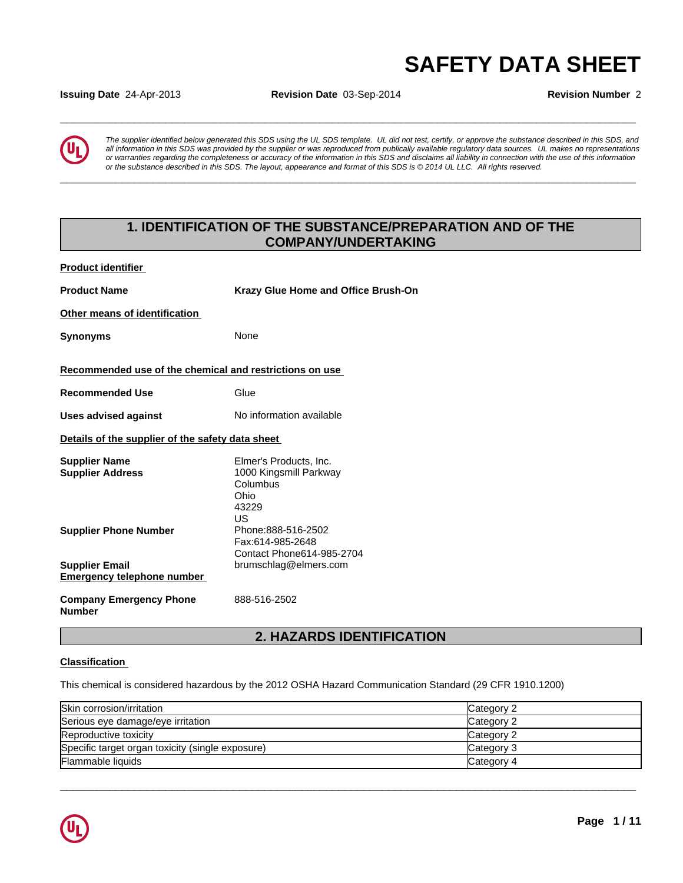# **\_\_\_\_\_\_\_\_\_\_\_\_\_\_\_\_\_\_\_\_\_\_\_\_\_\_\_\_\_\_\_\_\_\_\_\_\_\_\_\_\_\_\_\_\_\_\_\_\_\_\_\_\_\_\_\_\_\_\_\_\_\_\_\_\_\_\_\_\_\_\_\_\_\_\_\_\_\_\_\_\_\_\_\_\_\_\_\_\_\_\_\_\_ SAFETY DATA SHEET**

**Issuing Date** 24-Apr-2013 **Revision Date** 03-Sep-2014 **Revision Number** 2



*The supplier identified below generated this SDS using the UL SDS template. UL did not test, certify, or approve the substance described in this SDS, and all information in this SDS was provided by the supplier or was reproduced from publically available regulatory data sources. UL makes no representations or warranties regarding the completeness or accuracy of the information in this SDS and disclaims all liability in connection with the use of this information* or the substance described in this SDS. The layout, appearance and format of this SDS is @2014 UL LLC. All rights reserved.

**\_\_\_\_\_\_\_\_\_\_\_\_\_\_\_\_\_\_\_\_\_\_\_\_\_\_\_\_\_\_\_\_\_\_\_\_\_\_\_\_\_\_\_\_\_\_\_\_\_\_\_\_\_\_\_\_\_\_\_\_\_\_\_\_\_\_\_\_\_\_\_\_\_\_\_\_\_\_\_\_\_\_\_\_\_\_\_\_\_\_\_\_\_**

# **1. IDENTIFICATION OF THE SUBSTANCE/PREPARATION AND OF THE COMPANY/UNDERTAKING**

**Product identifier** 

| <b>Product Name</b>                                        | Krazy Glue Home and Office Brush-On                                                 |
|------------------------------------------------------------|-------------------------------------------------------------------------------------|
| Other means of identification                              |                                                                                     |
| <b>Synonyms</b>                                            | None                                                                                |
| Recommended use of the chemical and restrictions on use    |                                                                                     |
| <b>Recommended Use</b>                                     | Glue                                                                                |
| <b>Uses advised against</b>                                | No information available                                                            |
| Details of the supplier of the safety data sheet           |                                                                                     |
| <b>Supplier Name</b><br><b>Supplier Address</b>            | Elmer's Products, Inc.<br>1000 Kingsmill Parkway<br>Columbus<br>Ohio<br>43229<br>US |
| <b>Supplier Phone Number</b>                               | Phone: 888-516-2502<br>Fax:614-985-2648<br>Contact Phone614-985-2704                |
| <b>Supplier Email</b><br><b>Emergency telephone number</b> | brumschlag@elmers.com                                                               |
| <b>Company Emergency Phone</b><br><b>Number</b>            | 888-516-2502                                                                        |

# **2. HAZARDS IDENTIFICATION**

#### **Classification**

This chemical is considered hazardous by the 2012 OSHA Hazard Communication Standard (29 CFR 1910.1200)

| Skin corrosion/irritation                        | Category 2 |
|--------------------------------------------------|------------|
| Serious eye damage/eye irritation                | Category 2 |
| Reproductive toxicity                            | Category 2 |
| Specific target organ toxicity (single exposure) | Category 3 |
| <b>Flammable liquids</b>                         | Category 4 |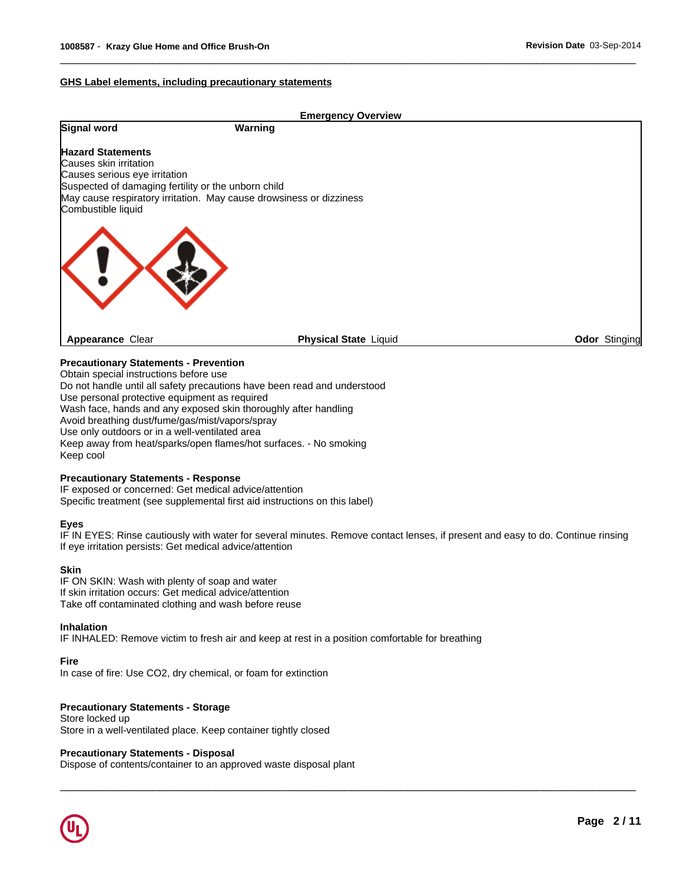#### **GHS Label elements, including precautionary statements**



 $\overline{\phantom{a}}$  ,  $\overline{\phantom{a}}$  ,  $\overline{\phantom{a}}$  ,  $\overline{\phantom{a}}$  ,  $\overline{\phantom{a}}$  ,  $\overline{\phantom{a}}$  ,  $\overline{\phantom{a}}$  ,  $\overline{\phantom{a}}$  ,  $\overline{\phantom{a}}$  ,  $\overline{\phantom{a}}$  ,  $\overline{\phantom{a}}$  ,  $\overline{\phantom{a}}$  ,  $\overline{\phantom{a}}$  ,  $\overline{\phantom{a}}$  ,  $\overline{\phantom{a}}$  ,  $\overline{\phantom{a}}$ 

Do not handle until all safety precautions have been read and understood Use personal protective equipment as required Wash face, hands and any exposed skin thoroughly after handling Avoid breathing dust/fume/gas/mist/vapors/spray Use only outdoors or in a well-ventilated area Keep away from heat/sparks/open flames/hot surfaces. - No smoking Keep cool

#### **Precautionary Statements - Response**

IF exposed or concerned: Get medical advice/attention Specific treatment (see supplemental first aid instructions on this label)

#### **Eyes**

IF IN EYES: Rinse cautiously with water for several minutes. Remove contact lenses, if present and easy to do. Continue rinsing If eye irritation persists: Get medical advice/attention

 $\overline{\phantom{a}}$  ,  $\overline{\phantom{a}}$  ,  $\overline{\phantom{a}}$  ,  $\overline{\phantom{a}}$  ,  $\overline{\phantom{a}}$  ,  $\overline{\phantom{a}}$  ,  $\overline{\phantom{a}}$  ,  $\overline{\phantom{a}}$  ,  $\overline{\phantom{a}}$  ,  $\overline{\phantom{a}}$  ,  $\overline{\phantom{a}}$  ,  $\overline{\phantom{a}}$  ,  $\overline{\phantom{a}}$  ,  $\overline{\phantom{a}}$  ,  $\overline{\phantom{a}}$  ,  $\overline{\phantom{a}}$ 

#### **Skin**

IF ON SKIN: Wash with plenty of soap and water If skin irritation occurs: Get medical advice/attention Take off contaminated clothing and wash before reuse

#### **Inhalation**

IF INHALED: Remove victim to fresh air and keep at rest in a position comfortable for breathing

#### **Fire**

In case of fire: Use CO2, dry chemical, or foam for extinction

#### **Precautionary Statements - Storage**

Store locked up Store in a well-ventilated place. Keep container tightly closed

#### **Precautionary Statements - Disposal**

Dispose of contents/container to an approved waste disposal plant

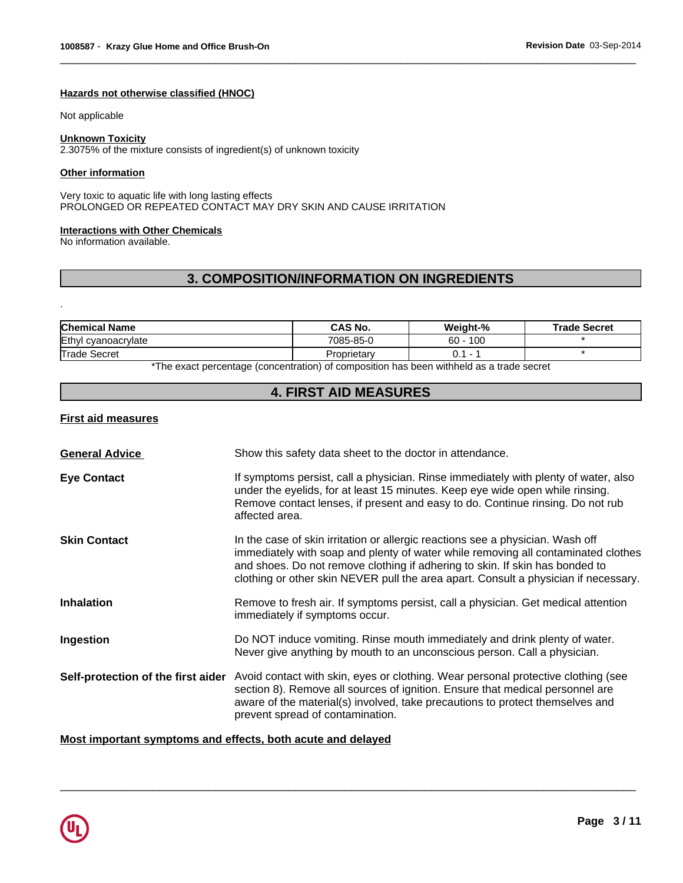#### **Hazards not otherwise classified (HNOC)**

Not applicable

#### **Unknown Toxicity**

2.3075% of the mixture consists of ingredient(s) of unknown toxicity

#### **Other information**

.

Very toxic to aquatic life with long lasting effects PROLONGED OR REPEATED CONTACT MAY DRY SKIN AND CAUSE IRRITATION

#### **Interactions with Other Chemicals**

No information available.

# **3. COMPOSITION/INFORMATION ON INGREDIENTS**

 $\overline{\phantom{a}}$  ,  $\overline{\phantom{a}}$  ,  $\overline{\phantom{a}}$  ,  $\overline{\phantom{a}}$  ,  $\overline{\phantom{a}}$  ,  $\overline{\phantom{a}}$  ,  $\overline{\phantom{a}}$  ,  $\overline{\phantom{a}}$  ,  $\overline{\phantom{a}}$  ,  $\overline{\phantom{a}}$  ,  $\overline{\phantom{a}}$  ,  $\overline{\phantom{a}}$  ,  $\overline{\phantom{a}}$  ,  $\overline{\phantom{a}}$  ,  $\overline{\phantom{a}}$  ,  $\overline{\phantom{a}}$ 

| <b>Chemical Name</b>                                                                     | CAS No.     | Weight-%    | <b>Trade Secret</b> |
|------------------------------------------------------------------------------------------|-------------|-------------|---------------------|
| Ethyl cyanoacrylate                                                                      | 7085-85-0   | 100<br>60 - |                     |
| <b>Trade Secret</b>                                                                      | Proprietary |             |                     |
| *The exact perceptage (conceptration) of composition has been withheld as a trade secret |             |             |                     |

#### The exact percentage (concentration) of composition has been withheld as a trade secret

# **4. FIRST AID MEASURES**

#### **First aid measures**

| <b>General Advice</b> | Show this safety data sheet to the doctor in attendance.                                                                                                                                                                                                                                                                                   |
|-----------------------|--------------------------------------------------------------------------------------------------------------------------------------------------------------------------------------------------------------------------------------------------------------------------------------------------------------------------------------------|
| <b>Eye Contact</b>    | If symptoms persist, call a physician. Rinse immediately with plenty of water, also<br>under the eyelids, for at least 15 minutes. Keep eye wide open while rinsing.<br>Remove contact lenses, if present and easy to do. Continue rinsing. Do not rub<br>affected area.                                                                   |
| <b>Skin Contact</b>   | In the case of skin irritation or allergic reactions see a physician. Wash off<br>immediately with soap and plenty of water while removing all contaminated clothes<br>and shoes. Do not remove clothing if adhering to skin. If skin has bonded to<br>clothing or other skin NEVER pull the area apart. Consult a physician if necessary. |
| <b>Inhalation</b>     | Remove to fresh air. If symptoms persist, call a physician. Get medical attention<br>immediately if symptoms occur.                                                                                                                                                                                                                        |
| Ingestion             | Do NOT induce vomiting. Rinse mouth immediately and drink plenty of water.<br>Never give anything by mouth to an unconscious person. Call a physician.                                                                                                                                                                                     |
|                       | Self-protection of the first aider Avoid contact with skin, eyes or clothing. Wear personal protective clothing (see<br>section 8). Remove all sources of ignition. Ensure that medical personnel are<br>aware of the material(s) involved, take precautions to protect themselves and<br>prevent spread of contamination.                 |

 $\overline{\phantom{a}}$  ,  $\overline{\phantom{a}}$  ,  $\overline{\phantom{a}}$  ,  $\overline{\phantom{a}}$  ,  $\overline{\phantom{a}}$  ,  $\overline{\phantom{a}}$  ,  $\overline{\phantom{a}}$  ,  $\overline{\phantom{a}}$  ,  $\overline{\phantom{a}}$  ,  $\overline{\phantom{a}}$  ,  $\overline{\phantom{a}}$  ,  $\overline{\phantom{a}}$  ,  $\overline{\phantom{a}}$  ,  $\overline{\phantom{a}}$  ,  $\overline{\phantom{a}}$  ,  $\overline{\phantom{a}}$ 

#### **Most important symptoms and effects, both acute and delayed**

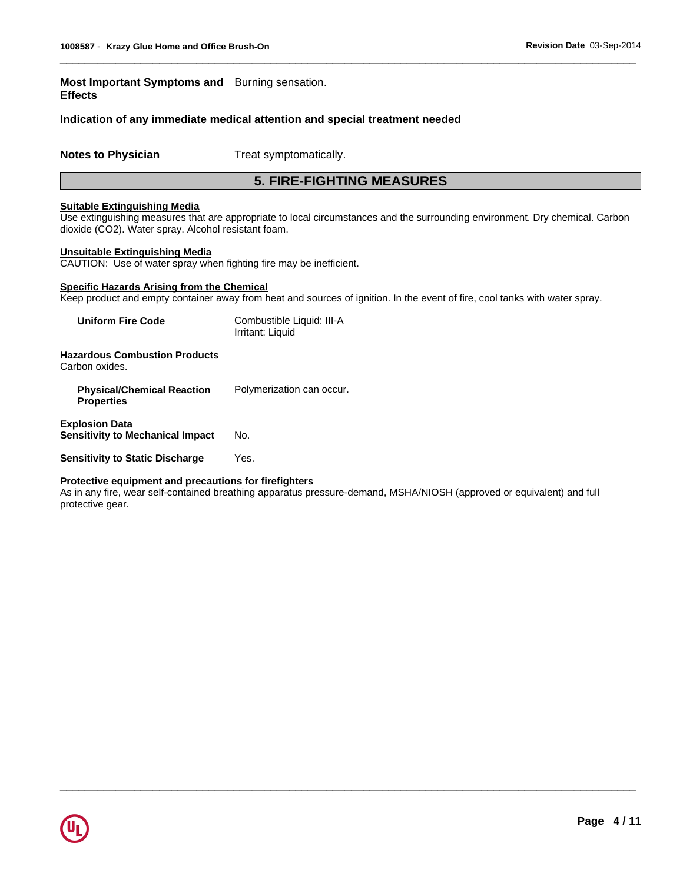#### **Most Important Symptoms and** Burning sensation. **Effects**

#### **Indication of any immediate medical attention and special treatment needed**

**Notes to Physician** Treat symptomatically.

# **5. FIRE-FIGHTING MEASURES**

 $\overline{\phantom{a}}$  ,  $\overline{\phantom{a}}$  ,  $\overline{\phantom{a}}$  ,  $\overline{\phantom{a}}$  ,  $\overline{\phantom{a}}$  ,  $\overline{\phantom{a}}$  ,  $\overline{\phantom{a}}$  ,  $\overline{\phantom{a}}$  ,  $\overline{\phantom{a}}$  ,  $\overline{\phantom{a}}$  ,  $\overline{\phantom{a}}$  ,  $\overline{\phantom{a}}$  ,  $\overline{\phantom{a}}$  ,  $\overline{\phantom{a}}$  ,  $\overline{\phantom{a}}$  ,  $\overline{\phantom{a}}$ 

#### **Suitable Extinguishing Media**

Use extinguishing measures that are appropriate to local circumstances and the surrounding environment. Dry chemical. Carbon dioxide (CO2). Water spray. Alcohol resistant foam.

#### **Unsuitable Extinguishing Media**

CAUTION: Use of water spray when fighting fire may be inefficient.

#### **Specific Hazards Arising from the Chemical**

Keep product and empty container away from heat and sources of ignition. In the event of fire, cool tanks with water spray.

| <b>Uniform Fire Code</b>                                  | Combustible Liquid: III-A<br>Irritant: Liquid |
|-----------------------------------------------------------|-----------------------------------------------|
| <b>Hazardous Combustion Products</b><br>Carbon oxides.    |                                               |
| <b>Physical/Chemical Reaction</b><br><b>Properties</b>    | Polymerization can occur.                     |
| Explosion Data<br><b>Sensitivity to Mechanical Impact</b> | No.                                           |

**Sensitivity to Static Discharge Yes.** 

#### **Protective equipment and precautions for firefighters**

As in any fire, wear self-contained breathing apparatus pressure-demand, MSHA/NIOSH (approved or equivalent) and full protective gear.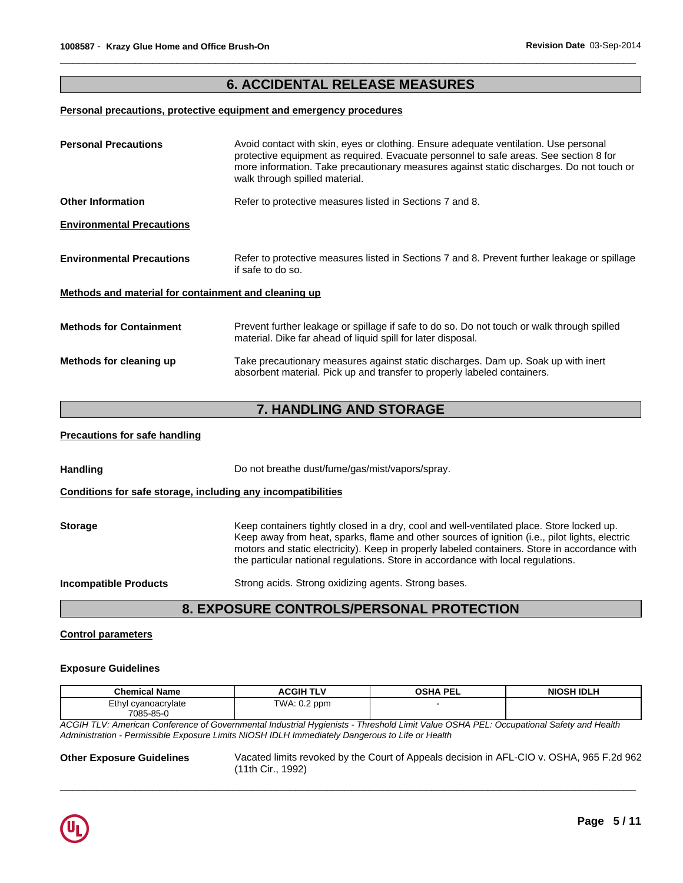# **6. ACCIDENTAL RELEASE MEASURES**

 $\overline{\phantom{a}}$  ,  $\overline{\phantom{a}}$  ,  $\overline{\phantom{a}}$  ,  $\overline{\phantom{a}}$  ,  $\overline{\phantom{a}}$  ,  $\overline{\phantom{a}}$  ,  $\overline{\phantom{a}}$  ,  $\overline{\phantom{a}}$  ,  $\overline{\phantom{a}}$  ,  $\overline{\phantom{a}}$  ,  $\overline{\phantom{a}}$  ,  $\overline{\phantom{a}}$  ,  $\overline{\phantom{a}}$  ,  $\overline{\phantom{a}}$  ,  $\overline{\phantom{a}}$  ,  $\overline{\phantom{a}}$ 

#### **Personal precautions, protective equipment and emergency procedures**

|                                                      | <b>UANDUMC AND STORACE</b><br>7                                                                                                                                                                                                                                                                             |
|------------------------------------------------------|-------------------------------------------------------------------------------------------------------------------------------------------------------------------------------------------------------------------------------------------------------------------------------------------------------------|
| Methods for cleaning up                              | Take precautionary measures against static discharges. Dam up. Soak up with inert<br>absorbent material. Pick up and transfer to properly labeled containers.                                                                                                                                               |
| <b>Methods for Containment</b>                       | Prevent further leakage or spillage if safe to do so. Do not touch or walk through spilled<br>material. Dike far ahead of liquid spill for later disposal.                                                                                                                                                  |
| Methods and material for containment and cleaning up |                                                                                                                                                                                                                                                                                                             |
| <b>Environmental Precautions</b>                     | Refer to protective measures listed in Sections 7 and 8. Prevent further leakage or spillage<br>if safe to do so.                                                                                                                                                                                           |
| <b>Environmental Precautions</b>                     |                                                                                                                                                                                                                                                                                                             |
| <b>Other Information</b>                             | Refer to protective measures listed in Sections 7 and 8.                                                                                                                                                                                                                                                    |
| <b>Personal Precautions</b>                          | Avoid contact with skin, eyes or clothing. Ensure adequate ventilation. Use personal<br>protective equipment as required. Evacuate personnel to safe areas. See section 8 for<br>more information. Take precautionary measures against static discharges. Do not touch or<br>walk through spilled material. |
|                                                      |                                                                                                                                                                                                                                                                                                             |

# **7. HANDLING AND STORAGE**

#### **Precautions for safe handling**

Handling **Handling** Do not breathe dust/fume/gas/mist/vapors/spray.

#### **Conditions for safe storage, including any incompatibilities**

**Storage** Keep containers tightly closed in a dry, cool and well-ventilated place. Store locked up. Keep away from heat, sparks, flame and other sources of ignition (i.e., pilot lights, electric motors and static electricity). Keep in properly labeled containers. Store in accordance with the particular national regulations. Store in accordance with local regulations.

**Incompatible Products** Strong acids. Strong oxidizing agents. Strong bases.

# **8. EXPOSURE CONTROLS/PERSONAL PROTECTION**

#### **Control parameters**

#### **Exposure Guidelines**

| <b>Chemical Name</b> | <b>ACGIH</b> | <b>OSHA PEL</b><br>--- | NIOSH IDLH |
|----------------------|--------------|------------------------|------------|
| Ethyl cyanoacrylate  | TWA: 0.2 ppm |                        |            |
| 7085-85-L            |              |                        |            |

*ACGIH TLV: American Conference of Governmental Industrial Hygienists - Threshold Limit Value OSHA PEL: Occupational Safety and Health Administration - Permissible Exposure Limits NIOSH IDLH Immediately Dangerous to Life or Health*

**Other Exposure Guidelines** Vacated limits revoked by the Court of Appeals decision in AFL-CIO v. OSHA, 965 F.2d 962 (11th Cir., 1992)

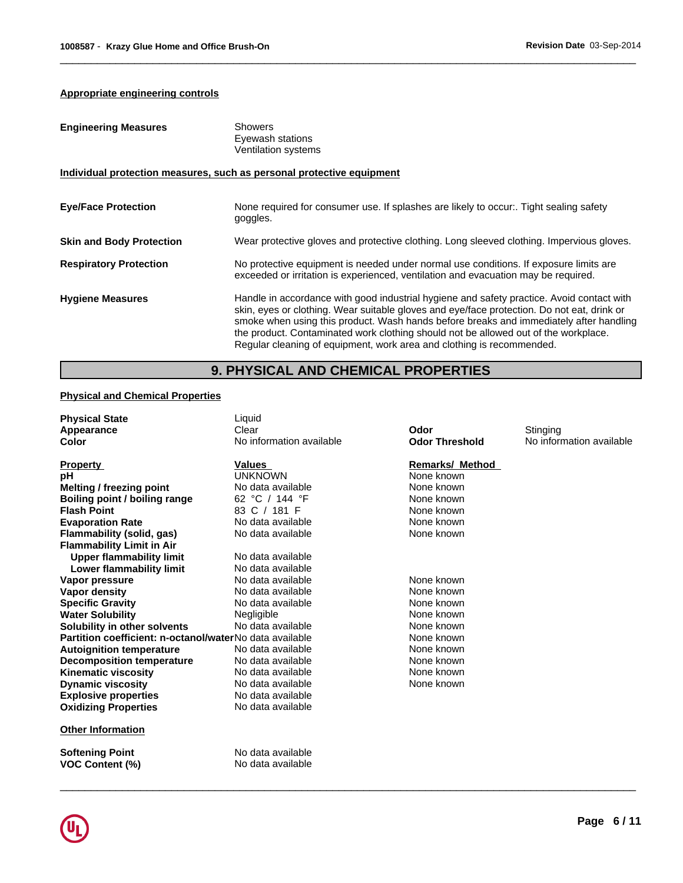# **Appropriate engineering controls**

| <b>Engineering Measures</b>     | Showers<br>Eyewash stations<br>Ventilation systems                                                                                                                                                                                                                                                                                                                                                                                                |  |  |
|---------------------------------|---------------------------------------------------------------------------------------------------------------------------------------------------------------------------------------------------------------------------------------------------------------------------------------------------------------------------------------------------------------------------------------------------------------------------------------------------|--|--|
|                                 | Individual protection measures, such as personal protective equipment                                                                                                                                                                                                                                                                                                                                                                             |  |  |
| <b>Eye/Face Protection</b>      | None required for consumer use. If splashes are likely to occur:. Tight sealing safety<br>goggles.                                                                                                                                                                                                                                                                                                                                                |  |  |
| <b>Skin and Body Protection</b> | Wear protective gloves and protective clothing. Long sleeved clothing. Impervious gloves.                                                                                                                                                                                                                                                                                                                                                         |  |  |
| <b>Respiratory Protection</b>   | No protective equipment is needed under normal use conditions. If exposure limits are<br>exceeded or irritation is experienced, ventilation and evacuation may be required.                                                                                                                                                                                                                                                                       |  |  |
| <b>Hygiene Measures</b>         | Handle in accordance with good industrial hygiene and safety practice. Avoid contact with<br>skin, eyes or clothing. Wear suitable gloves and eye/face protection. Do not eat, drink or<br>smoke when using this product. Wash hands before breaks and immediately after handling<br>the product. Contaminated work clothing should not be allowed out of the workplace.<br>Regular cleaning of equipment, work area and clothing is recommended. |  |  |

 $\overline{\phantom{a}}$  ,  $\overline{\phantom{a}}$  ,  $\overline{\phantom{a}}$  ,  $\overline{\phantom{a}}$  ,  $\overline{\phantom{a}}$  ,  $\overline{\phantom{a}}$  ,  $\overline{\phantom{a}}$  ,  $\overline{\phantom{a}}$  ,  $\overline{\phantom{a}}$  ,  $\overline{\phantom{a}}$  ,  $\overline{\phantom{a}}$  ,  $\overline{\phantom{a}}$  ,  $\overline{\phantom{a}}$  ,  $\overline{\phantom{a}}$  ,  $\overline{\phantom{a}}$  ,  $\overline{\phantom{a}}$ 

# **9. PHYSICAL AND CHEMICAL PROPERTIES**

## **Physical and Chemical Properties**

| <b>Physical State</b>                                   | Liquid                   |                        |                          |
|---------------------------------------------------------|--------------------------|------------------------|--------------------------|
| Appearance                                              | Clear                    | Odor                   | Stinging                 |
| <b>Color</b>                                            | No information available | <b>Odor Threshold</b>  | No information available |
| <b>Property</b>                                         | Values                   | <b>Remarks/ Method</b> |                          |
| рH                                                      | <b>UNKNOWN</b>           | None known             |                          |
| Melting / freezing point                                | No data available        | None known             |                          |
| Boiling point / boiling range                           | 62 °C / 144 °F           | None known             |                          |
| <b>Flash Point</b>                                      | 83 C / 181 F             | None known             |                          |
| <b>Evaporation Rate</b>                                 | No data available        | None known             |                          |
| Flammability (solid, gas)                               | No data available        | None known             |                          |
| <b>Flammability Limit in Air</b>                        |                          |                        |                          |
| <b>Upper flammability limit</b>                         | No data available        |                        |                          |
| Lower flammability limit                                | No data available        |                        |                          |
| Vapor pressure                                          | No data available        | None known             |                          |
| Vapor density                                           | No data available        | None known             |                          |
| <b>Specific Gravity</b>                                 | No data available        | None known             |                          |
| <b>Water Solubility</b>                                 | Negligible               | None known             |                          |
| Solubility in other solvents                            | No data available        | None known             |                          |
| Partition coefficient: n-octanol/waterNo data available |                          | None known             |                          |
| <b>Autoignition temperature</b>                         | No data available        | None known             |                          |
| <b>Decomposition temperature</b>                        | No data available        | None known             |                          |
| <b>Kinematic viscosity</b>                              | No data available        | None known             |                          |
| <b>Dynamic viscosity</b>                                | No data available        | None known             |                          |
| <b>Explosive properties</b>                             | No data available        |                        |                          |
| <b>Oxidizing Properties</b>                             | No data available        |                        |                          |
| <b>Other Information</b>                                |                          |                        |                          |
| <b>Softening Point</b>                                  | No data available        |                        |                          |
| <b>VOC Content (%)</b>                                  | No data available        |                        |                          |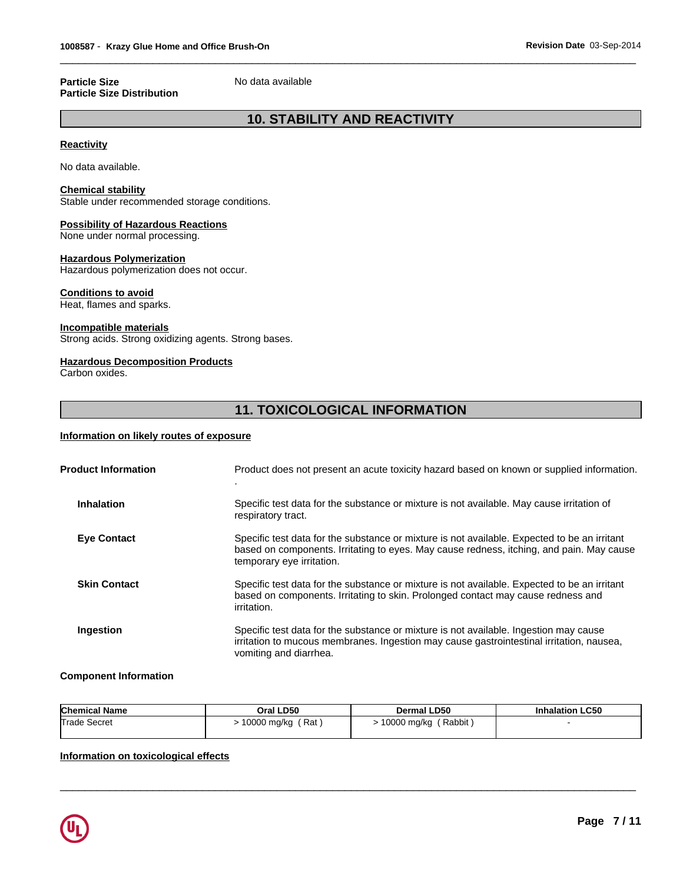# **10. STABILITY AND REACTIVITY**

 $\overline{\phantom{a}}$  ,  $\overline{\phantom{a}}$  ,  $\overline{\phantom{a}}$  ,  $\overline{\phantom{a}}$  ,  $\overline{\phantom{a}}$  ,  $\overline{\phantom{a}}$  ,  $\overline{\phantom{a}}$  ,  $\overline{\phantom{a}}$  ,  $\overline{\phantom{a}}$  ,  $\overline{\phantom{a}}$  ,  $\overline{\phantom{a}}$  ,  $\overline{\phantom{a}}$  ,  $\overline{\phantom{a}}$  ,  $\overline{\phantom{a}}$  ,  $\overline{\phantom{a}}$  ,  $\overline{\phantom{a}}$ 

**Reactivity**

No data available.

#### **Chemical stability**

Stable under recommended storage conditions.

#### **Possibility of Hazardous Reactions**

None under normal processing.

#### **Hazardous Polymerization**

Hazardous polymerization does not occur.

### **Conditions to avoid**

Heat, flames and sparks.

#### **Incompatible materials**

Strong acids. Strong oxidizing agents. Strong bases.

#### **Hazardous Decomposition Products**

Carbon oxides.

# **11. TOXICOLOGICAL INFORMATION**

#### **Information on likely routes of exposure**

| <b>Product Information</b> | Product does not present an acute toxicity hazard based on known or supplied information.                                                                                                                             |
|----------------------------|-----------------------------------------------------------------------------------------------------------------------------------------------------------------------------------------------------------------------|
| <b>Inhalation</b>          | Specific test data for the substance or mixture is not available. May cause irritation of<br>respiratory tract.                                                                                                       |
| <b>Eye Contact</b>         | Specific test data for the substance or mixture is not available. Expected to be an irritant<br>based on components. Irritating to eyes. May cause redness, itching, and pain. May cause<br>temporary eye irritation. |
| <b>Skin Contact</b>        | Specific test data for the substance or mixture is not available. Expected to be an irritant<br>based on components. Irritating to skin. Prolonged contact may cause redness and<br>irritation.                       |
| Ingestion                  | Specific test data for the substance or mixture is not available. Ingestion may cause<br>irritation to mucous membranes. Ingestion may cause gastrointestinal irritation, nausea,<br>vomiting and diarrhea.           |
|                            |                                                                                                                                                                                                                       |

#### **Component Information**

| <b>Chemical Name</b> | Oral LD50            | Dermal LD50            | <b>Inhalation LC50</b> |
|----------------------|----------------------|------------------------|------------------------|
| <b>Trade Secret</b>  | ' Rat<br>10000 mg/kg | Rabbit)<br>10000 mg/kg |                        |
|                      |                      |                        |                        |

 $\overline{\phantom{a}}$  ,  $\overline{\phantom{a}}$  ,  $\overline{\phantom{a}}$  ,  $\overline{\phantom{a}}$  ,  $\overline{\phantom{a}}$  ,  $\overline{\phantom{a}}$  ,  $\overline{\phantom{a}}$  ,  $\overline{\phantom{a}}$  ,  $\overline{\phantom{a}}$  ,  $\overline{\phantom{a}}$  ,  $\overline{\phantom{a}}$  ,  $\overline{\phantom{a}}$  ,  $\overline{\phantom{a}}$  ,  $\overline{\phantom{a}}$  ,  $\overline{\phantom{a}}$  ,  $\overline{\phantom{a}}$ 

#### **Information on toxicological effects**

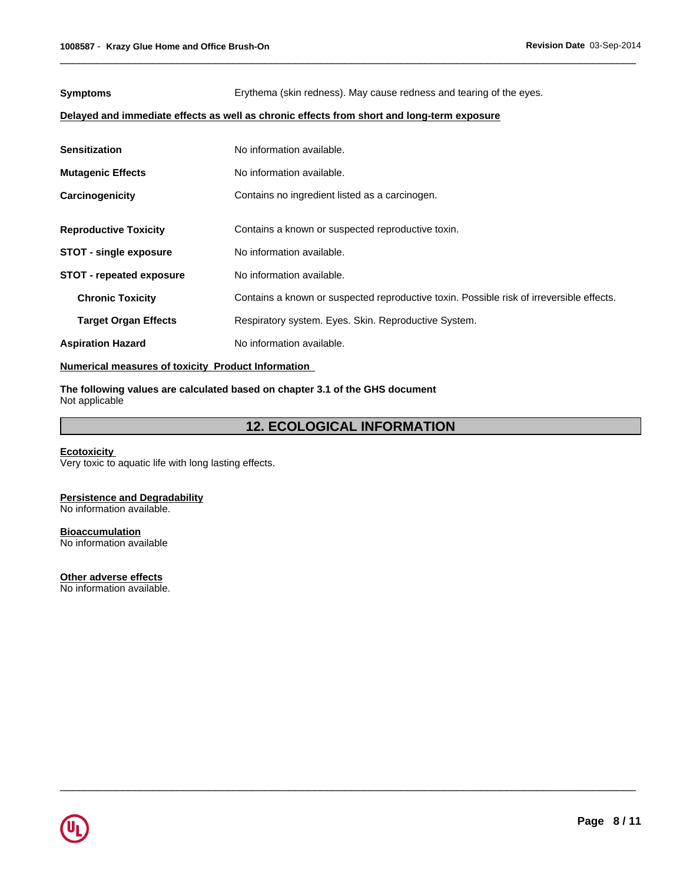**Symptoms** Erythema (skin redness). May cause redness and tearing of the eyes.

 $\overline{\phantom{a}}$  ,  $\overline{\phantom{a}}$  ,  $\overline{\phantom{a}}$  ,  $\overline{\phantom{a}}$  ,  $\overline{\phantom{a}}$  ,  $\overline{\phantom{a}}$  ,  $\overline{\phantom{a}}$  ,  $\overline{\phantom{a}}$  ,  $\overline{\phantom{a}}$  ,  $\overline{\phantom{a}}$  ,  $\overline{\phantom{a}}$  ,  $\overline{\phantom{a}}$  ,  $\overline{\phantom{a}}$  ,  $\overline{\phantom{a}}$  ,  $\overline{\phantom{a}}$  ,  $\overline{\phantom{a}}$ 

#### **Delayed and immediate effects as well as chronic effects from short and long-term exposure**

| <b>Sensitization</b>            | No information available.                                                                |  |
|---------------------------------|------------------------------------------------------------------------------------------|--|
| <b>Mutagenic Effects</b>        | No information available.                                                                |  |
| Carcinogenicity                 | Contains no ingredient listed as a carcinogen.                                           |  |
|                                 |                                                                                          |  |
| <b>Reproductive Toxicity</b>    | Contains a known or suspected reproductive toxin.                                        |  |
| <b>STOT - single exposure</b>   | No information available.                                                                |  |
| <b>STOT - repeated exposure</b> | No information available.                                                                |  |
| <b>Chronic Toxicity</b>         | Contains a known or suspected reproductive toxin. Possible risk of irreversible effects. |  |
| <b>Target Organ Effects</b>     | Respiratory system. Eyes. Skin. Reproductive System.                                     |  |
| <b>Aspiration Hazard</b>        | No information available.                                                                |  |

### **Numerical measures of toxicity Product Information**

#### **The following values are calculated based on chapter 3.1 of the GHS document** Not applicable

# **12. ECOLOGICAL INFORMATION**

 $\overline{\phantom{a}}$  ,  $\overline{\phantom{a}}$  ,  $\overline{\phantom{a}}$  ,  $\overline{\phantom{a}}$  ,  $\overline{\phantom{a}}$  ,  $\overline{\phantom{a}}$  ,  $\overline{\phantom{a}}$  ,  $\overline{\phantom{a}}$  ,  $\overline{\phantom{a}}$  ,  $\overline{\phantom{a}}$  ,  $\overline{\phantom{a}}$  ,  $\overline{\phantom{a}}$  ,  $\overline{\phantom{a}}$  ,  $\overline{\phantom{a}}$  ,  $\overline{\phantom{a}}$  ,  $\overline{\phantom{a}}$ 

#### **Ecotoxicity**

Very toxic to aquatic life with long lasting effects.

# **Persistence and Degradability**

No information available.

#### **Bioaccumulation**

No information available

#### **Other adverse effects**

No information available.

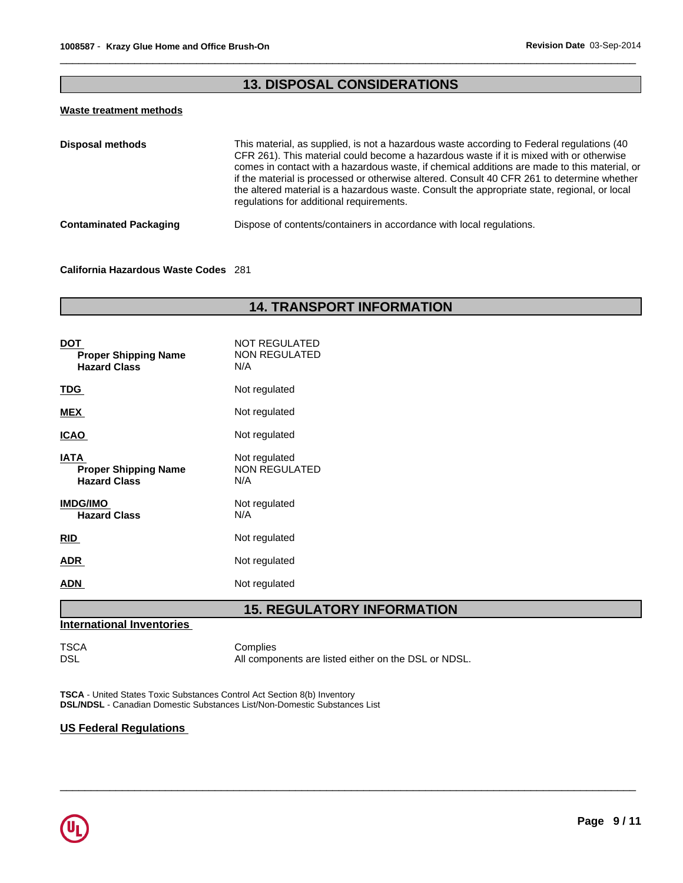# **13. DISPOSAL CONSIDERATIONS**

 $\overline{\phantom{a}}$  ,  $\overline{\phantom{a}}$  ,  $\overline{\phantom{a}}$  ,  $\overline{\phantom{a}}$  ,  $\overline{\phantom{a}}$  ,  $\overline{\phantom{a}}$  ,  $\overline{\phantom{a}}$  ,  $\overline{\phantom{a}}$  ,  $\overline{\phantom{a}}$  ,  $\overline{\phantom{a}}$  ,  $\overline{\phantom{a}}$  ,  $\overline{\phantom{a}}$  ,  $\overline{\phantom{a}}$  ,  $\overline{\phantom{a}}$  ,  $\overline{\phantom{a}}$  ,  $\overline{\phantom{a}}$ 

# **Waste treatment methods**

| This material, as supplied, is not a hazardous waste according to Federal regulations (40<br>CFR 261). This material could become a hazardous waste if it is mixed with or otherwise<br>comes in contact with a hazardous waste, if chemical additions are made to this material, or<br>if the material is processed or otherwise altered. Consult 40 CFR 261 to determine whether<br>the altered material is a hazardous waste. Consult the appropriate state, regional, or local<br>regulations for additional requirements. |  |  |  |
|--------------------------------------------------------------------------------------------------------------------------------------------------------------------------------------------------------------------------------------------------------------------------------------------------------------------------------------------------------------------------------------------------------------------------------------------------------------------------------------------------------------------------------|--|--|--|
| Dispose of contents/containers in accordance with local regulations.                                                                                                                                                                                                                                                                                                                                                                                                                                                           |  |  |  |
|                                                                                                                                                                                                                                                                                                                                                                                                                                                                                                                                |  |  |  |

#### **California Hazardous Waste Codes** 281

# **14. TRANSPORT INFORMATION**

| <b>NOT REGULATED</b><br><b>NON REGULATED</b><br>N/A |
|-----------------------------------------------------|
| Not regulated                                       |
| Not regulated                                       |
| Not regulated                                       |
| Not regulated<br><b>NON REGULATED</b><br>N/A        |
| Not regulated<br>N/A                                |
| Not regulated                                       |
| Not regulated                                       |
| Not regulated                                       |
|                                                     |

# **15. REGULATORY INFORMATION**

 $\overline{\phantom{a}}$  ,  $\overline{\phantom{a}}$  ,  $\overline{\phantom{a}}$  ,  $\overline{\phantom{a}}$  ,  $\overline{\phantom{a}}$  ,  $\overline{\phantom{a}}$  ,  $\overline{\phantom{a}}$  ,  $\overline{\phantom{a}}$  ,  $\overline{\phantom{a}}$  ,  $\overline{\phantom{a}}$  ,  $\overline{\phantom{a}}$  ,  $\overline{\phantom{a}}$  ,  $\overline{\phantom{a}}$  ,  $\overline{\phantom{a}}$  ,  $\overline{\phantom{a}}$  ,  $\overline{\phantom{a}}$ 

#### **International Inventories**

TSCA Complies<br>DSL All compo All components are listed either on the DSL or NDSL.

**TSCA** - United States Toxic Substances Control Act Section 8(b) Inventory **DSL/NDSL** - Canadian Domestic Substances List/Non-Domestic Substances List

#### **US Federal Regulations**

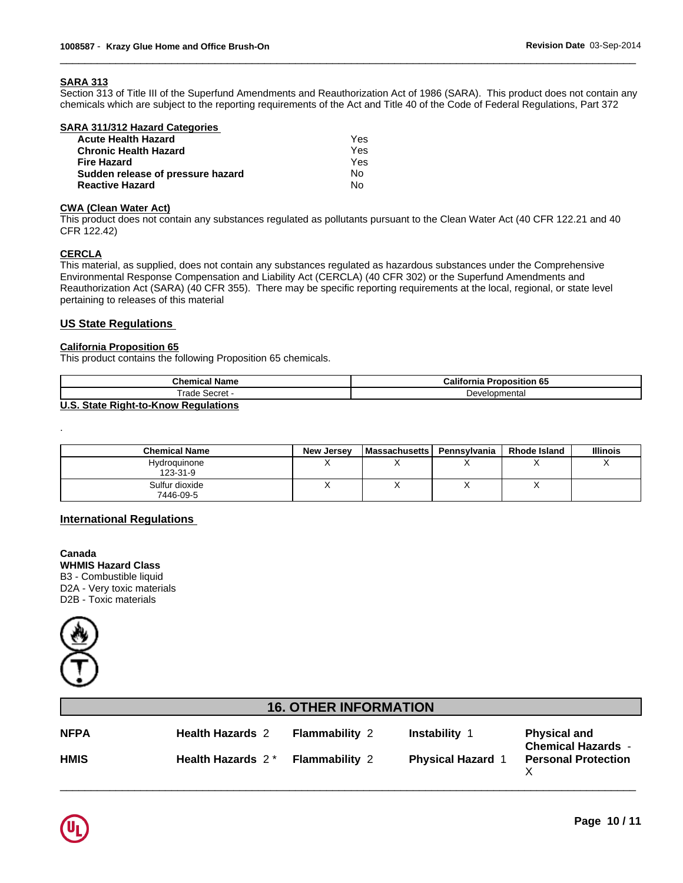#### **SARA 313**

Section 313 of Title III of the Superfund Amendments and Reauthorization Act of 1986 (SARA). This product does not contain any chemicals which are subject to the reporting requirements of the Act and Title 40 of the Code of Federal Regulations, Part 372

 $\overline{\phantom{a}}$  ,  $\overline{\phantom{a}}$  ,  $\overline{\phantom{a}}$  ,  $\overline{\phantom{a}}$  ,  $\overline{\phantom{a}}$  ,  $\overline{\phantom{a}}$  ,  $\overline{\phantom{a}}$  ,  $\overline{\phantom{a}}$  ,  $\overline{\phantom{a}}$  ,  $\overline{\phantom{a}}$  ,  $\overline{\phantom{a}}$  ,  $\overline{\phantom{a}}$  ,  $\overline{\phantom{a}}$  ,  $\overline{\phantom{a}}$  ,  $\overline{\phantom{a}}$  ,  $\overline{\phantom{a}}$ 

| SARA 311/312 Hazard Categories    |     |  |
|-----------------------------------|-----|--|
| <b>Acute Health Hazard</b>        | Yes |  |
| <b>Chronic Health Hazard</b>      | Yes |  |
| Fire Hazard                       | Yes |  |
| Sudden release of pressure hazard | No  |  |
| <b>Reactive Hazard</b>            | N٥  |  |
|                                   |     |  |

#### **CWA (Clean Water Act)**

This product does not contain any substances regulated as pollutants pursuant to the Clean Water Act (40 CFR 122.21 and 40 CFR 122.42)

#### **CERCLA**

.

This material, as supplied, does not contain any substances regulated as hazardous substances under the Comprehensive Environmental Response Compensation and Liability Act (CERCLA) (40 CFR 302) or the Superfund Amendments and Reauthorization Act (SARA) (40 CFR 355). There may be specific reporting requirements at the local, regional, or state level pertaining to releases of this material

#### **US State Regulations**

#### **California Proposition 65**

This product contains the following Proposition 65 chemicals.

| Chemica<br>Name | Calif<br>. .<br>oposition 65<br>.<br>mr |
|-----------------|-----------------------------------------|
| rade<br>Secret  | Developmental                           |

#### **U.S. State Right-to-Know Regulations**

| <b>Chemical Name</b>        | New Jersey | l Massachusetts l | Pennsvlvania | <b>Rhode Island</b> | <b>Illinois</b> |
|-----------------------------|------------|-------------------|--------------|---------------------|-----------------|
| Hydroquinone<br>123-31-9    |            |                   |              |                     | ,,              |
| Sulfur dioxide<br>7446-09-5 |            |                   |              |                     |                 |

#### **International Regulations**

**Canada WHMIS Hazard Class** B3 - Combustible liquid D2A - Very toxic materials D2B - Toxic materials



# **16. OTHER INFORMATION**

| <b>NFPA</b> | <b>Health Hazards 2</b> | <b>Flammability 2</b> | Instability              | <b>Physical and</b><br><b>Chemical Hazards -</b> |
|-------------|-------------------------|-----------------------|--------------------------|--------------------------------------------------|
| <b>HMIS</b> | Health Hazards 2*       | <b>Flammability 2</b> | <b>Physical Hazard 1</b> | <b>Personal Protection</b>                       |